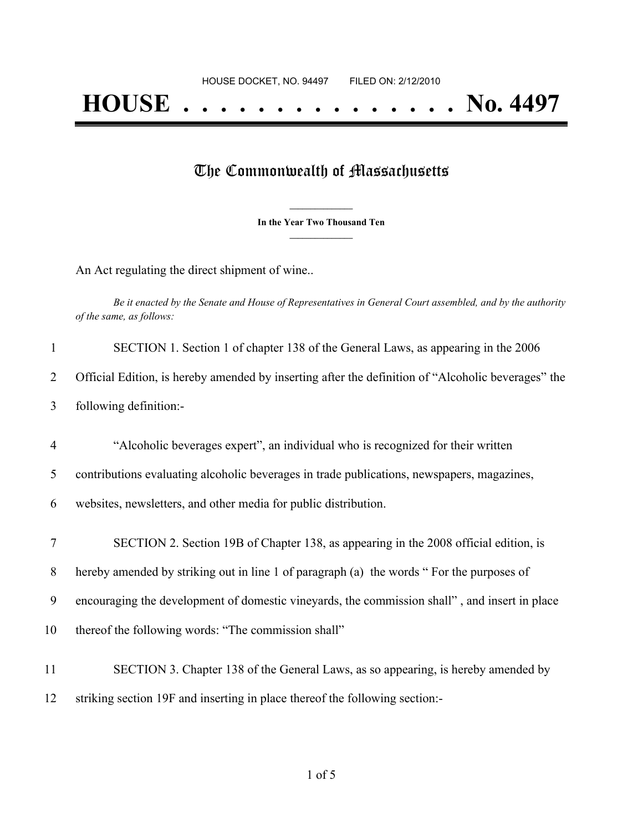## The Commonwealth of Massachusetts

**\_\_\_\_\_\_\_\_\_\_\_\_\_\_\_ In the Year Two Thousand Ten \_\_\_\_\_\_\_\_\_\_\_\_\_\_\_**

An Act regulating the direct shipment of wine..

Be it enacted by the Senate and House of Representatives in General Court assembled, and by the authority *of the same, as follows:*

| $\mathbf{1}$   | SECTION 1. Section 1 of chapter 138 of the General Laws, as appearing in the 2006                  |
|----------------|----------------------------------------------------------------------------------------------------|
| 2              | Official Edition, is hereby amended by inserting after the definition of "Alcoholic beverages" the |
| 3              | following definition:-                                                                             |
| $\overline{4}$ | "Alcoholic beverages expert", an individual who is recognized for their written                    |
| 5              | contributions evaluating alcoholic beverages in trade publications, newspapers, magazines,         |
| 6              | websites, newsletters, and other media for public distribution.                                    |
| 7              | SECTION 2. Section 19B of Chapter 138, as appearing in the 2008 official edition, is               |
| 8              | hereby amended by striking out in line 1 of paragraph (a) the words "For the purposes of           |
| 9              | encouraging the development of domestic vineyards, the commission shall", and insert in place      |
| 10             | thereof the following words: "The commission shall"                                                |
| 11             | SECTION 3. Chapter 138 of the General Laws, as so appearing, is hereby amended by                  |
| 12             | striking section 19F and inserting in place thereof the following section:-                        |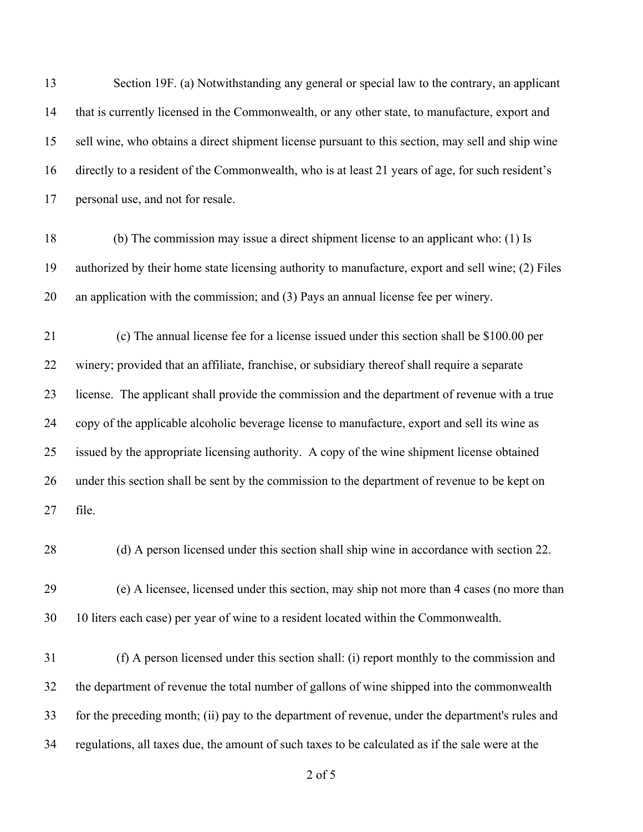Section 19F. (a) Notwithstanding any general or special law to the contrary, an applicant that is currently licensed in the Commonwealth, or any other state, to manufacture, export and sell wine, who obtains a direct shipment license pursuant to this section, may sell and ship wine directly to a resident of the Commonwealth, who is at least 21 years of age, for such resident's personal use, and not for resale.

 (b) The commission may issue a direct shipment license to an applicant who: (1) Is authorized by their home state licensing authority to manufacture, export and sell wine; (2) Files an application with the commission; and (3) Pays an annual license fee per winery.

 (c) The annual license fee for a license issued under this section shall be \$100.00 per winery; provided that an affiliate, franchise, or subsidiary thereof shall require a separate license. The applicant shall provide the commission and the department of revenue with a true copy of the applicable alcoholic beverage license to manufacture, export and sell its wine as issued by the appropriate licensing authority. A copy of the wine shipment license obtained under this section shall be sent by the commission to the department of revenue to be kept on file.

(d) A person licensed under this section shall ship wine in accordance with section 22.

 (e) A licensee, licensed under this section, may ship not more than 4 cases (no more than 10 liters each case) per year of wine to a resident located within the Commonwealth.

 (f) A person licensed under this section shall: (i) report monthly to the commission and the department of revenue the total number of gallons of wine shipped into the commonwealth for the preceding month; (ii) pay to the department of revenue, under the department's rules and regulations, all taxes due, the amount of such taxes to be calculated as if the sale were at the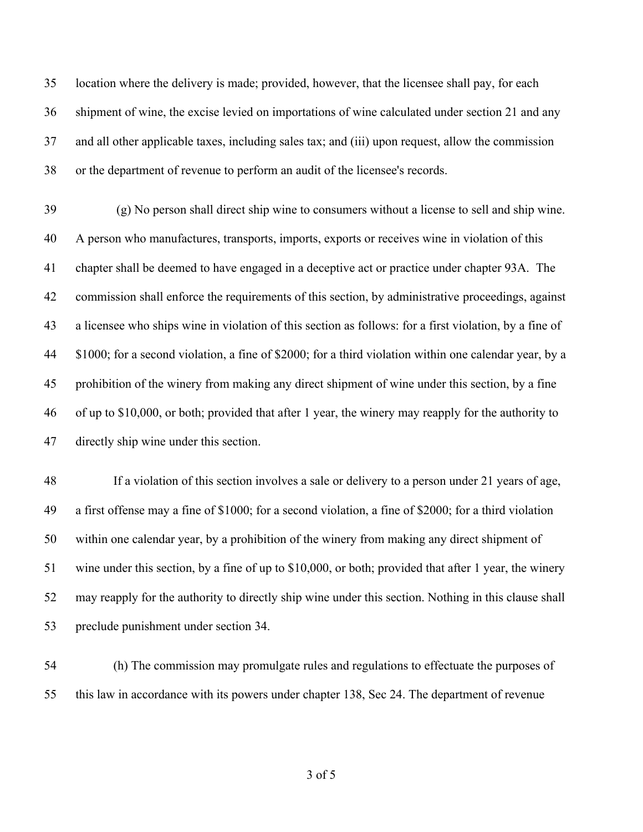location where the delivery is made; provided, however, that the licensee shall pay, for each shipment of wine, the excise levied on importations of wine calculated under section 21 and any and all other applicable taxes, including sales tax; and (iii) upon request, allow the commission or the department of revenue to perform an audit of the licensee's records.

 (g) No person shall direct ship wine to consumers without a license to sell and ship wine. A person who manufactures, transports, imports, exports or receives wine in violation of this chapter shall be deemed to have engaged in a deceptive act or practice under chapter 93A. The commission shall enforce the requirements of this section, by administrative proceedings, against a licensee who ships wine in violation of this section as follows: for a first violation, by a fine of \$1000; for a second violation, a fine of \$2000; for a third violation within one calendar year, by a prohibition of the winery from making any direct shipment of wine under this section, by a fine of up to \$10,000, or both; provided that after 1 year, the winery may reapply for the authority to directly ship wine under this section.

 If a violation of this section involves a sale or delivery to a person under 21 years of age, a first offense may a fine of \$1000; for a second violation, a fine of \$2000; for a third violation within one calendar year, by a prohibition of the winery from making any direct shipment of wine under this section, by a fine of up to \$10,000, or both; provided that after 1 year, the winery may reapply for the authority to directly ship wine under this section. Nothing in this clause shall preclude punishment under section 34.

 (h) The commission may promulgate rules and regulations to effectuate the purposes of this law in accordance with its powers under chapter 138, Sec 24. The department of revenue

of 5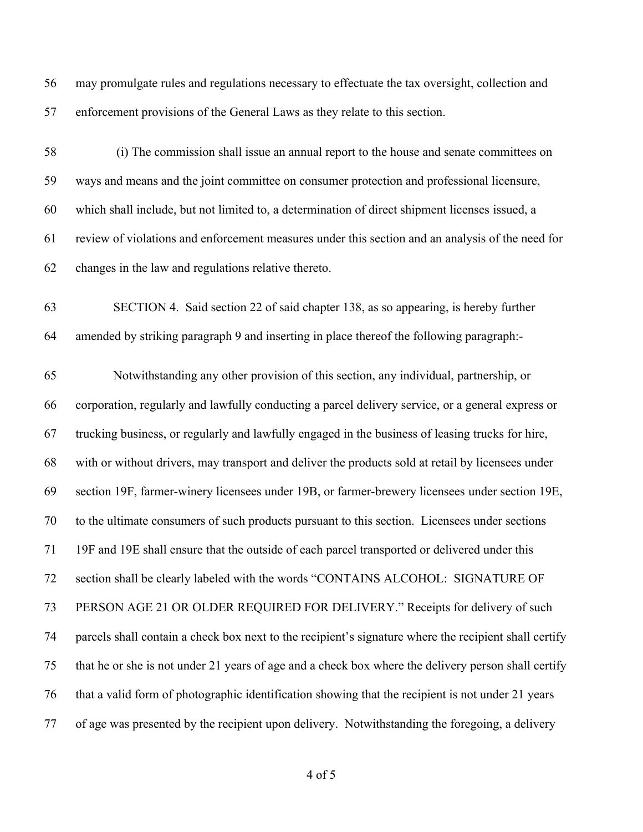may promulgate rules and regulations necessary to effectuate the tax oversight, collection and enforcement provisions of the General Laws as they relate to this section.

 (i) The commission shall issue an annual report to the house and senate committees on ways and means and the joint committee on consumer protection and professional licensure, which shall include, but not limited to, a determination of direct shipment licenses issued, a review of violations and enforcement measures under this section and an analysis of the need for changes in the law and regulations relative thereto.

 SECTION 4. Said section 22 of said chapter 138, as so appearing, is hereby further amended by striking paragraph 9 and inserting in place thereof the following paragraph:-

 Notwithstanding any other provision of this section, any individual, partnership, or corporation, regularly and lawfully conducting a parcel delivery service, or a general express or trucking business, or regularly and lawfully engaged in the business of leasing trucks for hire, with or without drivers, may transport and deliver the products sold at retail by licensees under section 19F, farmer-winery licensees under 19B, or farmer-brewery licensees under section 19E, to the ultimate consumers of such products pursuant to this section. Licensees under sections 19F and 19E shall ensure that the outside of each parcel transported or delivered under this section shall be clearly labeled with the words "CONTAINS ALCOHOL: SIGNATURE OF PERSON AGE 21 OR OLDER REQUIRED FOR DELIVERY." Receipts for delivery of such parcels shall contain a check box next to the recipient's signature where the recipient shall certify that he or she is not under 21 years of age and a check box where the delivery person shall certify that a valid form of photographic identification showing that the recipient is not under 21 years of age was presented by the recipient upon delivery. Notwithstanding the foregoing, a delivery

of 5